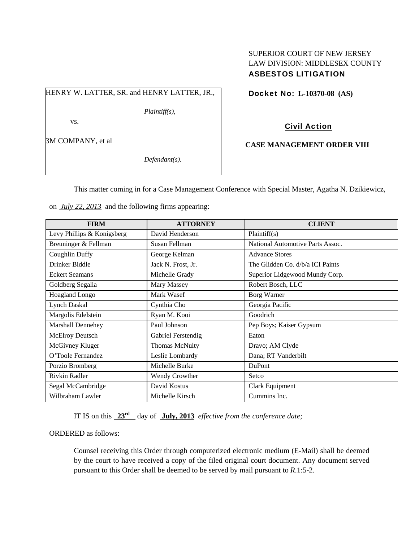## SUPERIOR COURT OF NEW JERSEY LAW DIVISION: MIDDLESEX COUNTY ASBESTOS LITIGATION

HENRY W. LATTER, SR. and HENRY LATTER, JR.,

*Plaintiff(s),* 

vs.

3M COMPANY, et al

*Defendant(s).* 

Docket No: **L-10370-08 (AS)** 

Civil Action

## **CASE MANAGEMENT ORDER VIII**

This matter coming in for a Case Management Conference with Special Master, Agatha N. Dzikiewicz,

on *July 22, 2013* and the following firms appearing:

| <b>FIRM</b>                | <b>ATTORNEY</b>       | <b>CLIENT</b>                    |
|----------------------------|-----------------------|----------------------------------|
| Levy Phillips & Konigsberg | David Henderson       | Plaintiff(s)                     |
| Breuninger & Fellman       | Susan Fellman         | National Automotive Parts Assoc. |
| Coughlin Duffy             | George Kelman         | <b>Advance Stores</b>            |
| Drinker Biddle             | Jack N. Frost, Jr.    | The Glidden Co. d/b/a ICI Paints |
| <b>Eckert Seamans</b>      | Michelle Grady        | Superior Lidgewood Mundy Corp.   |
| Goldberg Segalla           | Mary Massey           | Robert Bosch, LLC                |
| Hoagland Longo             | Mark Wasef            | <b>Borg Warner</b>               |
| <b>Lynch Daskal</b>        | Cynthia Cho           | Georgia Pacific                  |
| Margolis Edelstein         | Ryan M. Kooi          | Goodrich                         |
| Marshall Dennehey          | Paul Johnson          | Pep Boys; Kaiser Gypsum          |
| McElroy Deutsch            | Gabriel Ferstendig    | Eaton                            |
| McGivney Kluger            | <b>Thomas McNulty</b> | Dravo; AM Clyde                  |
| O'Toole Fernandez          | Leslie Lombardy       | Dana; RT Vanderbilt              |
| Porzio Bromberg            | Michelle Burke        | DuPont                           |
| Rivkin Radler              | <b>Wendy Crowther</b> | Setco                            |
| Segal McCambridge          | David Kostus          | Clark Equipment                  |
| Wilbraham Lawler           | Michelle Kirsch       | Cummins Inc.                     |

IT IS on this **23rd** day of **July, 2013** *effective from the conference date;*

ORDERED as follows:

Counsel receiving this Order through computerized electronic medium (E-Mail) shall be deemed by the court to have received a copy of the filed original court document. Any document served pursuant to this Order shall be deemed to be served by mail pursuant to *R*.1:5-2.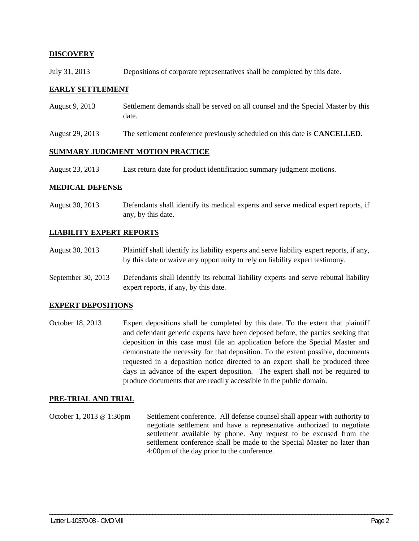### **DISCOVERY**

July 31, 2013 Depositions of corporate representatives shall be completed by this date.

#### **EARLY SETTLEMENT**

- August 9, 2013 Settlement demands shall be served on all counsel and the Special Master by this date.
- August 29, 2013 The settlement conference previously scheduled on this date is **CANCELLED**.

#### **SUMMARY JUDGMENT MOTION PRACTICE**

August 23, 2013 Last return date for product identification summary judgment motions.

#### **MEDICAL DEFENSE**

August 30, 2013 Defendants shall identify its medical experts and serve medical expert reports, if any, by this date.

#### **LIABILITY EXPERT REPORTS**

- August 30, 2013 Plaintiff shall identify its liability experts and serve liability expert reports, if any, by this date or waive any opportunity to rely on liability expert testimony.
- September 30, 2013 Defendants shall identify its rebuttal liability experts and serve rebuttal liability expert reports, if any, by this date.

#### **EXPERT DEPOSITIONS**

October 18, 2013 Expert depositions shall be completed by this date. To the extent that plaintiff and defendant generic experts have been deposed before, the parties seeking that deposition in this case must file an application before the Special Master and demonstrate the necessity for that deposition. To the extent possible, documents requested in a deposition notice directed to an expert shall be produced three days in advance of the expert deposition. The expert shall not be required to produce documents that are readily accessible in the public domain.

#### **PRE-TRIAL AND TRIAL**

October 1, 2013 @ 1:30pm Settlement conference. All defense counsel shall appear with authority to negotiate settlement and have a representative authorized to negotiate settlement available by phone. Any request to be excused from the settlement conference shall be made to the Special Master no later than 4:00pm of the day prior to the conference.

\_\_\_\_\_\_\_\_\_\_\_\_\_\_\_\_\_\_\_\_\_\_\_\_\_\_\_\_\_\_\_\_\_\_\_\_\_\_\_\_\_\_\_\_\_\_\_\_\_\_\_\_\_\_\_\_\_\_\_\_\_\_\_\_\_\_\_\_\_\_\_\_\_\_\_\_\_\_\_\_\_\_\_\_\_\_\_\_\_\_\_\_\_\_\_\_\_\_\_\_\_\_\_\_\_\_\_\_\_\_